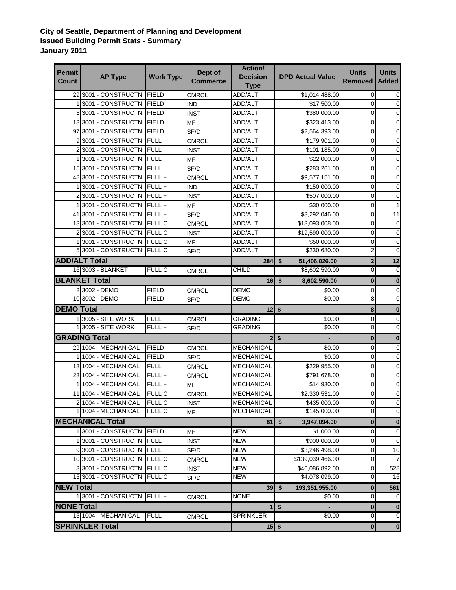## **City of Seattle, Department of Planning and Development Issued Building Permit Stats - Summary January 2011**

| <b>Permit</b><br><b>Count</b> | <b>AP Type</b>          | <b>Work Type</b> | Dept of<br>Commerce | <b>Action/</b><br><b>Decision</b><br><b>Type</b> | <b>DPD Actual Value</b> | <b>Units</b><br><b>Removed</b> | <b>Units</b><br><b>Added</b> |
|-------------------------------|-------------------------|------------------|---------------------|--------------------------------------------------|-------------------------|--------------------------------|------------------------------|
|                               | 29 3001 - CONSTRUCTN    | FIELD            | <b>CMRCL</b>        | ADD/ALT                                          | \$1,014,488.00          | 0                              | 0                            |
|                               | 13001 - CONSTRUCTN      | <b>FIELD</b>     | <b>IND</b>          | ADD/ALT                                          | \$17,500.00             | 0                              | 0                            |
|                               | 33001 - CONSTRUCTN      | <b>FIELD</b>     | <b>INST</b>         | ADD/ALT                                          | \$380,000.00            | 0                              | $\mathbf 0$                  |
|                               | 13 3001 - CONSTRUCTN    | <b>FIELD</b>     | MF                  | ADD/ALT                                          | \$323,413.00            | 0                              | $\mathbf 0$                  |
|                               | 97 3001 - CONSTRUCTN    | <b>FIELD</b>     | SF/D                | ADD/ALT                                          | \$2,564,393.00          | 0                              | $\mathbf 0$                  |
|                               | 93001 - CONSTRUCTN      | <b>FULL</b>      | CMRCL               | ADD/ALT                                          | \$179,901.00            | 0                              | $\mathbf 0$                  |
|                               | 3001 - CONSTRUCTN       | <b>FULL</b>      | <b>INST</b>         | ADD/ALT                                          | \$101,185.00            | $\mathbf 0$                    | $\mathbf 0$                  |
|                               | 3001 - CONSTRUCTN       | <b>FULL</b>      | MF                  | ADD/ALT                                          | \$22,000.00             | 0                              | 0                            |
|                               | 15 3001 - CONSTRUCTN    | FULL             | SF/D                | <b>ADD/ALT</b>                                   | \$283,261.00            | 0                              | $\mathbf 0$                  |
|                               | 48 3001 - CONSTRUCTN    | $FULL +$         | <b>CMRCL</b>        | ADD/ALT                                          | \$9,577,151.00          | $\mathbf 0$                    | 0                            |
|                               | 3001 - CONSTRUCTN       | FULL+            | <b>IND</b>          | ADD/ALT                                          | \$150,000.00            | $\mathbf 0$                    | 0                            |
|                               | 23001 - CONSTRUCTN      | FULL+            | <b>INST</b>         | ADD/ALT                                          | \$507,000.00            | $\mathbf 0$                    | 0                            |
|                               | 13001 - CONSTRUCTN      | FULL+            | <b>MF</b>           | ADD/ALT                                          | \$30,000.00             | $\mathbf 0$                    |                              |
|                               | 41 3001 - CONSTRUCTN    | $FULL +$         | SF/D                | ADD/ALT                                          | \$3,292,046.00          | 0                              | 11                           |
|                               | 13 3001 - CONSTRUCTN    | <b>FULL C</b>    | CMRCL               | ADD/ALT                                          | \$13,093,008.00         | $\mathbf 0$                    | $\mathbf 0$                  |
|                               | 2 3001 - CONSTRUCTN     | <b>FULL C</b>    | <b>INST</b>         | ADD/ALT                                          | \$19,590,000.00         | 0                              | 0                            |
|                               | 13001 - CONSTRUCTN      | <b>IFULL C</b>   | MF                  | ADD/ALT                                          | \$50,000.00             | 0                              | 0                            |
|                               | 5 3001 - CONSTRUCTN     | <b>FULL C</b>    | SF/D                | <b>ADD/ALT</b>                                   | \$230,680.00            | $\overline{2}$                 | $\mathbf{0}$                 |
|                               | <b>ADD/ALT Total</b>    |                  |                     | 284                                              | \$<br>51,406,026.00     | $\mathbf 2$                    | 12                           |
|                               | 16 3003 - BLANKET       | <b>FULL C</b>    | <b>CMRCL</b>        | CHILD                                            | \$8,602,590.00          | $\overline{0}$                 | $\overline{0}$               |
|                               | <b>BLANKET Total</b>    |                  |                     | $16$ \$                                          | 8,602,590.00            | $\bf{0}$                       | $\bf{0}$                     |
|                               | 2 3002 - DEMO           | <b>FIELD</b>     | <b>CMRCL</b>        | <b>DEMO</b>                                      | \$0.00                  | 0                              | $\overline{0}$               |
|                               | 10 3002 - DEMO          | <b>FIELD</b>     | SF/D                | DEMO                                             | \$0.00                  | 8                              | 0                            |
| <b>DEMO Total</b>             |                         |                  |                     | 12                                               | \$                      | 8                              | 0                            |
|                               | 1 3005 - SITE WORK      | FULL+            | <b>CMRCL</b>        | <b>GRADING</b>                                   | \$0.00                  | 0                              | 0                            |
|                               | 1 3005 - SITE WORK      | FULL+            | SF/D                | <b>GRADING</b>                                   | \$0.00                  | 0                              | $\mathbf 0$                  |
| <b>GRADING Total</b>          |                         |                  |                     |                                                  | $2$   \$                | $\bf{0}$                       | $\bf{0}$                     |
|                               | 29 1004 - MECHANICAL    | <b>FIELD</b>     | <b>CMRCL</b>        | <b>MECHANICAL</b>                                | \$0.00                  | 0                              | 0                            |
|                               | 1 1004 - MECHANICAL     | <b>FIELD</b>     | SF/D                | MECHANICAL                                       | \$0.00                  | 0                              | 0                            |
|                               | 13 1004 - MECHANICAL    | <b>FULL</b>      | <b>CMRCL</b>        | MECHANICAL                                       | \$229,955.00            | 0                              | 0                            |
|                               | 23 1004 - MECHANICAL    | FULL+            | CMRCL               | <b>MECHANICAL</b>                                | \$791,678.00            | 0                              | 0                            |
|                               | 1 1004 - MECHANICAL     | FULL +           | MF                  | <b>MECHANICAL</b>                                | \$14,930.00             | 0                              | 0                            |
|                               | 11 1004 - MECHANICAL    | FULL C           | <b>CMRCL</b>        | MECHANICAL                                       | \$2,330,531.00          | 0                              | 0                            |
|                               | 2 1004 - MECHANICAL     | <b>FULL C</b>    | <b>INST</b>         | <b>MECHANICAL</b>                                | \$435,000.00            | 0                              | $\mathbf 0$                  |
|                               | 1 1004 - MECHANICAL     | FULL C           | <b>MF</b>           | <b>MECHANICAL</b>                                | \$145,000.00            | $\overline{0}$                 | 0                            |
|                               | <b>MECHANICAL Total</b> |                  |                     | 81                                               | \$<br>3,947,094.00      | $\pmb{0}$                      | $\pmb{0}$                    |
|                               | 13001 - CONSTRUCTN      | FIELD            | <b>MF</b>           | <b>NEW</b>                                       | \$1,000.00              | 0                              | 0                            |
|                               | 13001 - CONSTRUCTN      | $FULL +$         | <b>INST</b>         | NEW                                              | \$900,000.00            | 0                              | $\mathbf 0$                  |
|                               | 93001 - CONSTRUCTN      | FULL+            | SF/D                | <b>NEW</b>                                       | \$3,246,498.00          | $\mathbf 0$                    | 10                           |
|                               | 10 3001 - CONSTRUCTN    | <b>FULL C</b>    | <b>CMRCL</b>        | <b>NEW</b>                                       | \$139,039,466.00        | $\pmb{0}$                      |                              |
|                               | 3 3001 - CONSTRUCTN     | <b>FULL C</b>    | <b>INST</b>         | <b>NEW</b>                                       | \$46,086,892.00         | $\mathbf 0$                    | 528                          |
|                               | 15 3001 - CONSTRUCTN    | <b>FULL C</b>    | SF/D                | <b>NEW</b>                                       | \$4,078,099.00          | 0                              | 16                           |
| <b>NEW Total</b>              |                         |                  |                     | $39$ \$                                          | 193,351,955.00          | $\bf{0}$                       | 561                          |
|                               | 1 3001 - CONSTRUCTN     | $FULL +$         | <b>CMRCL</b>        | <b>NONE</b>                                      | \$0.00                  | 0                              | 0                            |
| <b>NONE Total</b>             |                         |                  |                     | 1 <sup>1</sup>                                   | $\sqrt{2}$              | $\bf{0}$                       | $\bf{0}$                     |
|                               | 15 1004 - MECHANICAL    | <b>FULL</b>      | <b>CMRCL</b>        | <b>SPRINKLER</b>                                 | \$0.00                  | $\pmb{0}$                      | $\overline{0}$               |
|                               | <b>SPRINKLER Total</b>  |                  |                     |                                                  |                         |                                |                              |
|                               |                         |                  |                     | $15$ \$                                          | $\blacksquare$          | $\mathbf 0$                    | $\pmb{0}$                    |